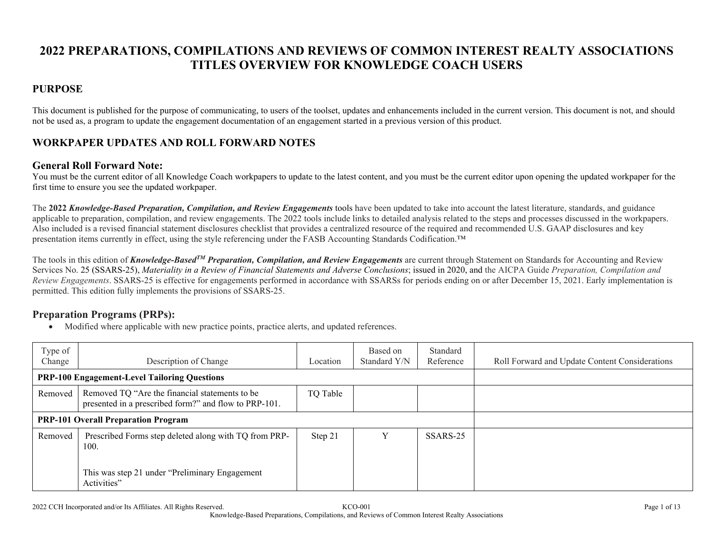# **2022 PREPARATIONS, COMPILATIONS AND REVIEWS OF COMMON INTEREST REALTY ASSOCIATIONS TITLES OVERVIEW FOR KNOWLEDGE COACH USERS**

## **PURPOSE**

This document is published for the purpose of communicating, to users of the toolset, updates and enhancements included in the current version. This document is not, and should not be used as, a program to update the engagement documentation of an engagement started in a previous version of this product.

## **WORKPAPER UPDATES AND ROLL FORWARD NOTES**

### **General Roll Forward Note:**

You must be the current editor of all Knowledge Coach workpapers to update to the latest content, and you must be the current editor upon opening the updated workpaper for the first time to ensure you see the updated workpaper.

The **2022** *Knowledge-Based Preparation, Compilation, and Review Engagements* tools have been updated to take into account the latest literature, standards, and guidance applicable to preparation, compilation, and review engagements. The 2022 tools include links to detailed analysis related to the steps and processes discussed in the workpapers. Also included is a revised financial statement disclosures checklist that provides a centralized resource of the required and recommended U.S. GAAP disclosures and key presentation items currently in effect, using the style referencing under the FASB Accounting Standards Codification.™

The tools in this edition of *Knowledge-BasedTM Preparation, Compilation, and Review Engagements* are current through Statement on Standards for Accounting and Review Services No. 25 (SSARS-25), *Materiality in a Review of Financial Statements and Adverse Conclusions*; issued in 2020, and the AICPA Guide *Preparation, Compilation and Review Engagements*. SSARS-25 is effective for engagements performed in accordance with SSARSs for periods ending on or after December 15, 2021. Early implementation is permitted. This edition fully implements the provisions of SSARS-25.

### **Preparation Programs (PRPs):**

| Type of<br>Change | Description of Change                                                                                   | Location | Based on<br>Standard Y/N | Standard<br>Reference | Roll Forward and Update Content Considerations |
|-------------------|---------------------------------------------------------------------------------------------------------|----------|--------------------------|-----------------------|------------------------------------------------|
|                   | <b>PRP-100 Engagement-Level Tailoring Questions</b>                                                     |          |                          |                       |                                                |
| Removed           | Removed TQ "Are the financial statements to be<br>presented in a prescribed form?" and flow to PRP-101. | TQ Table |                          |                       |                                                |
|                   | <b>PRP-101 Overall Preparation Program</b>                                                              |          |                          |                       |                                                |
| Removed           | Prescribed Forms step deleted along with TQ from PRP-<br>100.                                           | Step 21  | $\mathbf{v}$             | SSARS-25              |                                                |
|                   | This was step 21 under "Preliminary Engagement"<br>Activities"                                          |          |                          |                       |                                                |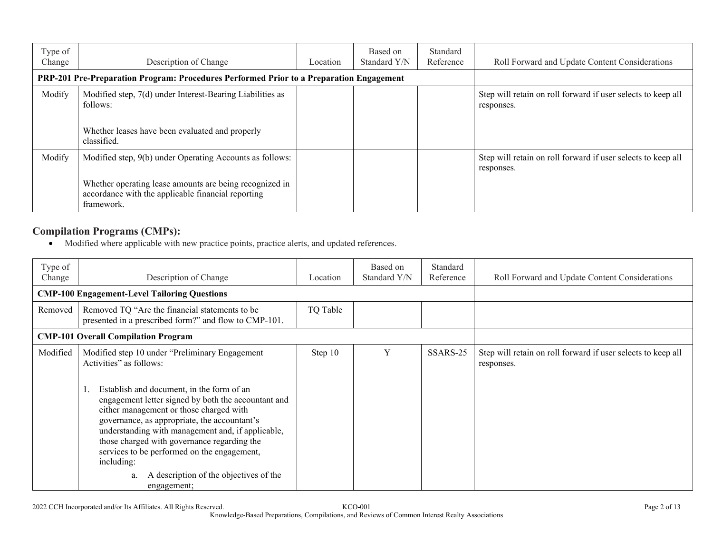| Type of<br>Change | Description of Change                                                                                                       | Location | Based on<br>Standard Y/N | Standard<br>Reference | Roll Forward and Update Content Considerations                             |
|-------------------|-----------------------------------------------------------------------------------------------------------------------------|----------|--------------------------|-----------------------|----------------------------------------------------------------------------|
|                   | PRP-201 Pre-Preparation Program: Procedures Performed Prior to a Preparation Engagement                                     |          |                          |                       |                                                                            |
| Modify            | Modified step, 7(d) under Interest-Bearing Liabilities as<br>follows:                                                       |          |                          |                       | Step will retain on roll forward if user selects to keep all<br>responses. |
|                   | Whether leases have been evaluated and properly<br>classified.                                                              |          |                          |                       |                                                                            |
| Modify            | Modified step, 9(b) under Operating Accounts as follows:                                                                    |          |                          |                       | Step will retain on roll forward if user selects to keep all<br>responses. |
|                   | Whether operating lease amounts are being recognized in<br>accordance with the applicable financial reporting<br>framework. |          |                          |                       |                                                                            |

## **Compilation Programs (CMPs):**

| Type of<br>Change | Description of Change                                                                                                                                                                                                                                                                                                                                                                                                                     | Location | Based on<br>Standard Y/N | Standard<br>Reference | Roll Forward and Update Content Considerations                             |
|-------------------|-------------------------------------------------------------------------------------------------------------------------------------------------------------------------------------------------------------------------------------------------------------------------------------------------------------------------------------------------------------------------------------------------------------------------------------------|----------|--------------------------|-----------------------|----------------------------------------------------------------------------|
|                   | <b>CMP-100 Engagement-Level Tailoring Questions</b>                                                                                                                                                                                                                                                                                                                                                                                       |          |                          |                       |                                                                            |
| Removed           | Removed TQ "Are the financial statements to be<br>presented in a prescribed form?" and flow to CMP-101.                                                                                                                                                                                                                                                                                                                                   | TQ Table |                          |                       |                                                                            |
|                   | <b>CMP-101 Overall Compilation Program</b>                                                                                                                                                                                                                                                                                                                                                                                                |          |                          |                       |                                                                            |
| Modified          | Modified step 10 under "Preliminary Engagement<br>Activities" as follows:<br>Establish and document, in the form of an<br>engagement letter signed by both the accountant and<br>either management or those charged with<br>governance, as appropriate, the accountant's<br>understanding with management and, if applicable,<br>those charged with governance regarding the<br>services to be performed on the engagement,<br>including: | Step 10  | Y                        | SSARS-25              | Step will retain on roll forward if user selects to keep all<br>responses. |
|                   | A description of the objectives of the<br>a.<br>engagement;                                                                                                                                                                                                                                                                                                                                                                               |          |                          |                       |                                                                            |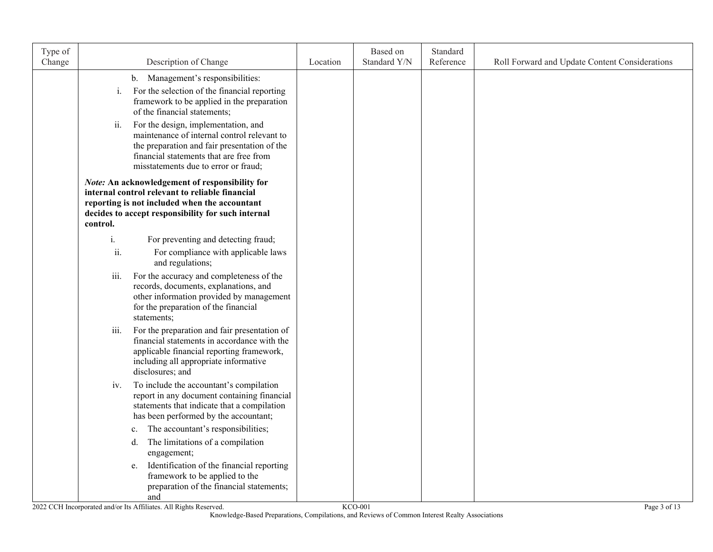| Type of<br>Change |          | Description of Change                                                                                                                                                                                                 | Location | Based on<br>Standard Y/N | Standard<br>Reference | Roll Forward and Update Content Considerations |
|-------------------|----------|-----------------------------------------------------------------------------------------------------------------------------------------------------------------------------------------------------------------------|----------|--------------------------|-----------------------|------------------------------------------------|
|                   |          | b. Management's responsibilities:                                                                                                                                                                                     |          |                          |                       |                                                |
|                   | i.       | For the selection of the financial reporting<br>framework to be applied in the preparation<br>of the financial statements;                                                                                            |          |                          |                       |                                                |
|                   | ii.      | For the design, implementation, and<br>maintenance of internal control relevant to<br>the preparation and fair presentation of the<br>financial statements that are free from<br>misstatements due to error or fraud; |          |                          |                       |                                                |
|                   | control. | Note: An acknowledgement of responsibility for<br>internal control relevant to reliable financial<br>reporting is not included when the accountant<br>decides to accept responsibility for such internal              |          |                          |                       |                                                |
|                   | i.       | For preventing and detecting fraud;                                                                                                                                                                                   |          |                          |                       |                                                |
|                   | ii.      | For compliance with applicable laws<br>and regulations;                                                                                                                                                               |          |                          |                       |                                                |
|                   | iii.     | For the accuracy and completeness of the<br>records, documents, explanations, and<br>other information provided by management<br>for the preparation of the financial<br>statements;                                  |          |                          |                       |                                                |
|                   | iii.     | For the preparation and fair presentation of<br>financial statements in accordance with the<br>applicable financial reporting framework,<br>including all appropriate informative<br>disclosures; and                 |          |                          |                       |                                                |
|                   | iv.      | To include the accountant's compilation<br>report in any document containing financial<br>statements that indicate that a compilation<br>has been performed by the accountant;                                        |          |                          |                       |                                                |
|                   | c.       | The accountant's responsibilities;<br>The limitations of a compilation<br>d.<br>engagement;                                                                                                                           |          |                          |                       |                                                |
|                   |          | Identification of the financial reporting<br>e.<br>framework to be applied to the<br>preparation of the financial statements;<br>and                                                                                  |          |                          |                       |                                                |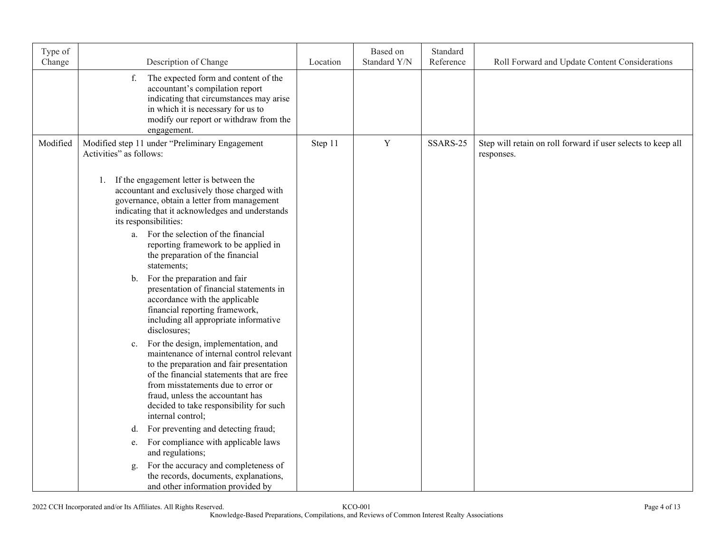| Type of<br>Change | Description of Change                                                                                                                                                                                                                                                                                                                                                                                                                                                                                                                                                                                                                                                                                                                                                                                                                                                                                                                                                                                                                                                                                                                                      | Location | Based on<br>Standard Y/N | Standard<br>Reference | Roll Forward and Update Content Considerations                             |
|-------------------|------------------------------------------------------------------------------------------------------------------------------------------------------------------------------------------------------------------------------------------------------------------------------------------------------------------------------------------------------------------------------------------------------------------------------------------------------------------------------------------------------------------------------------------------------------------------------------------------------------------------------------------------------------------------------------------------------------------------------------------------------------------------------------------------------------------------------------------------------------------------------------------------------------------------------------------------------------------------------------------------------------------------------------------------------------------------------------------------------------------------------------------------------------|----------|--------------------------|-----------------------|----------------------------------------------------------------------------|
|                   | f.<br>The expected form and content of the<br>accountant's compilation report<br>indicating that circumstances may arise<br>in which it is necessary for us to<br>modify our report or withdraw from the<br>engagement.                                                                                                                                                                                                                                                                                                                                                                                                                                                                                                                                                                                                                                                                                                                                                                                                                                                                                                                                    |          |                          |                       |                                                                            |
| Modified          | Modified step 11 under "Preliminary Engagement<br>Activities" as follows:                                                                                                                                                                                                                                                                                                                                                                                                                                                                                                                                                                                                                                                                                                                                                                                                                                                                                                                                                                                                                                                                                  | Step 11  | $\mathbf Y$              | SSARS-25              | Step will retain on roll forward if user selects to keep all<br>responses. |
|                   | 1. If the engagement letter is between the<br>accountant and exclusively those charged with<br>governance, obtain a letter from management<br>indicating that it acknowledges and understands<br>its responsibilities:<br>a. For the selection of the financial<br>reporting framework to be applied in<br>the preparation of the financial<br>statements;<br>For the preparation and fair<br>$\mathbf{b}$ .<br>presentation of financial statements in<br>accordance with the applicable<br>financial reporting framework,<br>including all appropriate informative<br>disclosures;<br>For the design, implementation, and<br>c.<br>maintenance of internal control relevant<br>to the preparation and fair presentation<br>of the financial statements that are free<br>from misstatements due to error or<br>fraud, unless the accountant has<br>decided to take responsibility for such<br>internal control;<br>For preventing and detecting fraud;<br>d.<br>For compliance with applicable laws<br>e.<br>and regulations;<br>For the accuracy and completeness of<br>g.<br>the records, documents, explanations,<br>and other information provided by |          |                          |                       |                                                                            |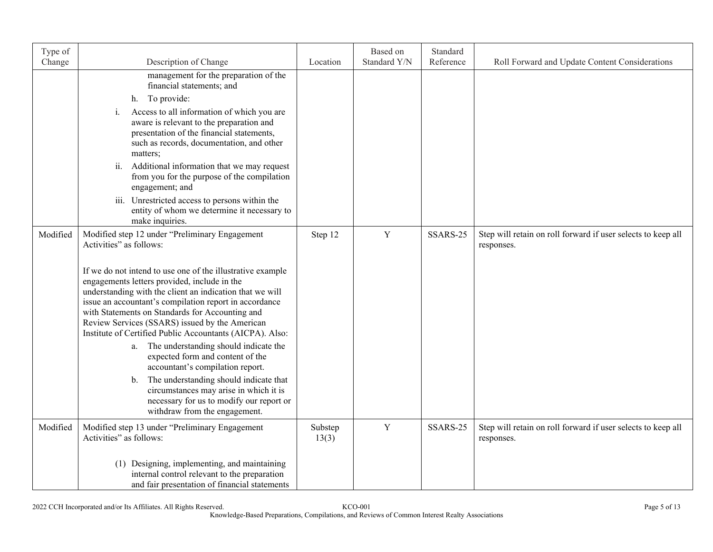| Type of  |                                                                                                                                                                                                                                                                                                                                                                                                                                                                                                                          |                  | Based on<br>Standard Y/N | Standard<br>Reference |                                                                            |
|----------|--------------------------------------------------------------------------------------------------------------------------------------------------------------------------------------------------------------------------------------------------------------------------------------------------------------------------------------------------------------------------------------------------------------------------------------------------------------------------------------------------------------------------|------------------|--------------------------|-----------------------|----------------------------------------------------------------------------|
| Change   | Description of Change                                                                                                                                                                                                                                                                                                                                                                                                                                                                                                    | Location         |                          |                       | Roll Forward and Update Content Considerations                             |
|          | management for the preparation of the<br>financial statements; and                                                                                                                                                                                                                                                                                                                                                                                                                                                       |                  |                          |                       |                                                                            |
|          | h. To provide:                                                                                                                                                                                                                                                                                                                                                                                                                                                                                                           |                  |                          |                       |                                                                            |
|          | Access to all information of which you are<br>i.<br>aware is relevant to the preparation and<br>presentation of the financial statements,<br>such as records, documentation, and other<br>matters;                                                                                                                                                                                                                                                                                                                       |                  |                          |                       |                                                                            |
|          | ii.<br>Additional information that we may request<br>from you for the purpose of the compilation<br>engagement; and                                                                                                                                                                                                                                                                                                                                                                                                      |                  |                          |                       |                                                                            |
|          | iii. Unrestricted access to persons within the<br>entity of whom we determine it necessary to<br>make inquiries.                                                                                                                                                                                                                                                                                                                                                                                                         |                  |                          |                       |                                                                            |
| Modified | Modified step 12 under "Preliminary Engagement<br>Activities" as follows:                                                                                                                                                                                                                                                                                                                                                                                                                                                | Step 12          | Y                        | SSARS-25              | Step will retain on roll forward if user selects to keep all<br>responses. |
|          | If we do not intend to use one of the illustrative example<br>engagements letters provided, include in the<br>understanding with the client an indication that we will<br>issue an accountant's compilation report in accordance<br>with Statements on Standards for Accounting and<br>Review Services (SSARS) issued by the American<br>Institute of Certified Public Accountants (AICPA). Also:<br>The understanding should indicate the<br>a.<br>expected form and content of the<br>accountant's compilation report. |                  |                          |                       |                                                                            |
|          | The understanding should indicate that<br>b.<br>circumstances may arise in which it is<br>necessary for us to modify our report or<br>withdraw from the engagement.                                                                                                                                                                                                                                                                                                                                                      |                  |                          |                       |                                                                            |
| Modified | Modified step 13 under "Preliminary Engagement<br>Activities" as follows:                                                                                                                                                                                                                                                                                                                                                                                                                                                | Substep<br>13(3) | Y                        | SSARS-25              | Step will retain on roll forward if user selects to keep all<br>responses. |
|          | (1) Designing, implementing, and maintaining<br>internal control relevant to the preparation<br>and fair presentation of financial statements                                                                                                                                                                                                                                                                                                                                                                            |                  |                          |                       |                                                                            |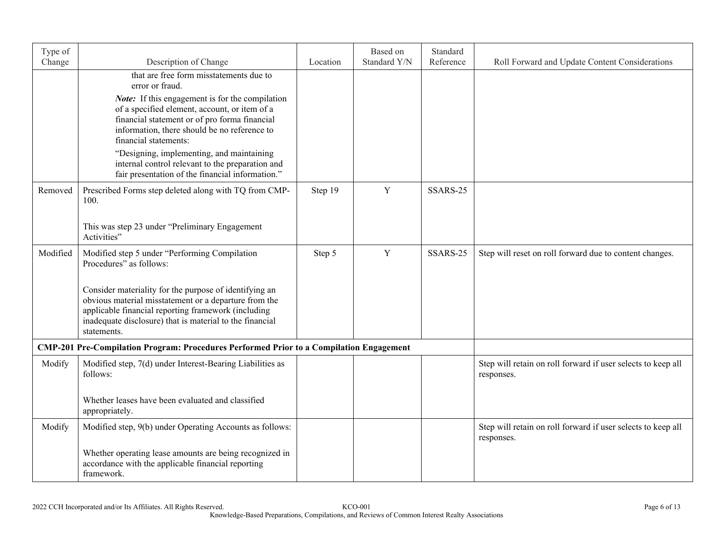| Type of<br>Change | Description of Change                                                                                                                                                                                                                             | Location | Based on<br>Standard Y/N | Standard<br>Reference | Roll Forward and Update Content Considerations                             |
|-------------------|---------------------------------------------------------------------------------------------------------------------------------------------------------------------------------------------------------------------------------------------------|----------|--------------------------|-----------------------|----------------------------------------------------------------------------|
|                   | that are free form misstatements due to<br>error or fraud.                                                                                                                                                                                        |          |                          |                       |                                                                            |
|                   | Note: If this engagement is for the compilation<br>of a specified element, account, or item of a<br>financial statement or of pro forma financial<br>information, there should be no reference to<br>financial statements:                        |          |                          |                       |                                                                            |
|                   | "Designing, implementing, and maintaining<br>internal control relevant to the preparation and<br>fair presentation of the financial information."                                                                                                 |          |                          |                       |                                                                            |
| Removed           | Prescribed Forms step deleted along with TQ from CMP-<br>100.                                                                                                                                                                                     | Step 19  | $\mathbf Y$              | SSARS-25              |                                                                            |
|                   | This was step 23 under "Preliminary Engagement<br>Activities"                                                                                                                                                                                     |          |                          |                       |                                                                            |
| Modified          | Modified step 5 under "Performing Compilation<br>Procedures" as follows:                                                                                                                                                                          | Step 5   | Y                        | SSARS-25              | Step will reset on roll forward due to content changes.                    |
|                   | Consider materiality for the purpose of identifying an<br>obvious material misstatement or a departure from the<br>applicable financial reporting framework (including<br>inadequate disclosure) that is material to the financial<br>statements. |          |                          |                       |                                                                            |
|                   | <b>CMP-201 Pre-Compilation Program: Procedures Performed Prior to a Compilation Engagement</b>                                                                                                                                                    |          |                          |                       |                                                                            |
| Modify            | Modified step, 7(d) under Interest-Bearing Liabilities as<br>follows:                                                                                                                                                                             |          |                          |                       | Step will retain on roll forward if user selects to keep all<br>responses. |
|                   | Whether leases have been evaluated and classified<br>appropriately.                                                                                                                                                                               |          |                          |                       |                                                                            |
| Modify            | Modified step, 9(b) under Operating Accounts as follows:                                                                                                                                                                                          |          |                          |                       | Step will retain on roll forward if user selects to keep all<br>responses. |
|                   | Whether operating lease amounts are being recognized in<br>accordance with the applicable financial reporting<br>framework.                                                                                                                       |          |                          |                       |                                                                            |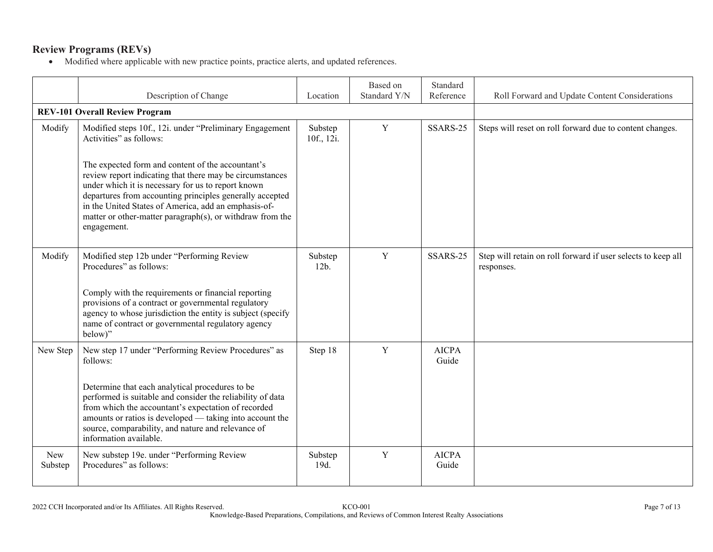## **Review Programs (REVs)**

|                       | Description of Change                                                                                                                                                                                                                                                                                                                                                               | Location              | Based on<br>Standard Y/N | Standard<br>Reference | Roll Forward and Update Content Considerations                             |
|-----------------------|-------------------------------------------------------------------------------------------------------------------------------------------------------------------------------------------------------------------------------------------------------------------------------------------------------------------------------------------------------------------------------------|-----------------------|--------------------------|-----------------------|----------------------------------------------------------------------------|
|                       | <b>REV-101 Overall Review Program</b>                                                                                                                                                                                                                                                                                                                                               |                       |                          |                       |                                                                            |
| Modify                | Modified steps 10f., 12i. under "Preliminary Engagement<br>Activities" as follows:                                                                                                                                                                                                                                                                                                  | Substep<br>10f., 12i. | $\mathbf Y$              | SSARS-25              | Steps will reset on roll forward due to content changes.                   |
|                       | The expected form and content of the accountant's<br>review report indicating that there may be circumstances<br>under which it is necessary for us to report known<br>departures from accounting principles generally accepted<br>in the United States of America, add an emphasis-of-<br>matter or other-matter paragraph(s), or withdraw from the<br>engagement.                 |                       |                          |                       |                                                                            |
| Modify                | Modified step 12b under "Performing Review<br>Procedures" as follows:<br>Comply with the requirements or financial reporting<br>provisions of a contract or governmental regulatory<br>agency to whose jurisdiction the entity is subject (specify<br>name of contract or governmental regulatory agency<br>below)"                                                                 | Substep<br>$12b$ .    | $\mathbf Y$              | SSARS-25              | Step will retain on roll forward if user selects to keep all<br>responses. |
| New Step              | New step 17 under "Performing Review Procedures" as<br>follows:<br>Determine that each analytical procedures to be<br>performed is suitable and consider the reliability of data<br>from which the accountant's expectation of recorded<br>amounts or ratios is developed — taking into account the<br>source, comparability, and nature and relevance of<br>information available. | Step 18               | Y                        | <b>AICPA</b><br>Guide |                                                                            |
| <b>New</b><br>Substep | New substep 19e. under "Performing Review<br>Procedures" as follows:                                                                                                                                                                                                                                                                                                                | Substep<br>19d.       | Y                        | <b>AICPA</b><br>Guide |                                                                            |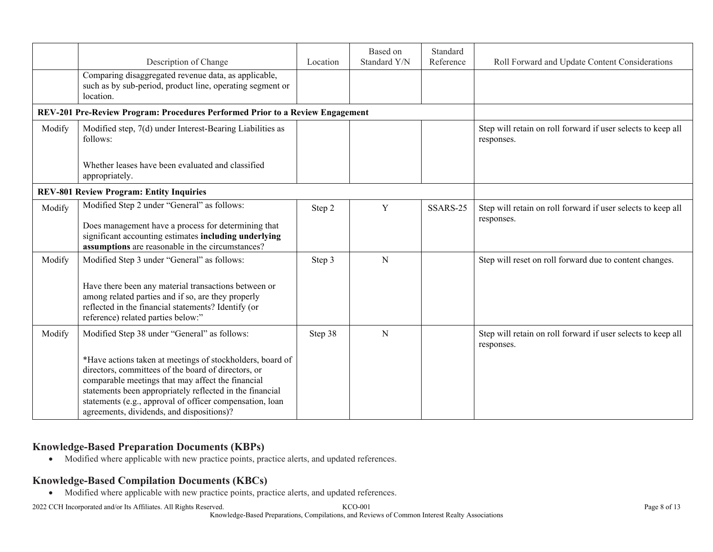|        |                                                                                                                                                                                                                                                                                                                                            |          | Based on     | Standard  |                                                                            |
|--------|--------------------------------------------------------------------------------------------------------------------------------------------------------------------------------------------------------------------------------------------------------------------------------------------------------------------------------------------|----------|--------------|-----------|----------------------------------------------------------------------------|
|        | Description of Change                                                                                                                                                                                                                                                                                                                      | Location | Standard Y/N | Reference | Roll Forward and Update Content Considerations                             |
|        | Comparing disaggregated revenue data, as applicable,<br>such as by sub-period, product line, operating segment or<br>location.                                                                                                                                                                                                             |          |              |           |                                                                            |
|        | REV-201 Pre-Review Program: Procedures Performed Prior to a Review Engagement                                                                                                                                                                                                                                                              |          |              |           |                                                                            |
| Modify | Modified step, 7(d) under Interest-Bearing Liabilities as<br>follows:                                                                                                                                                                                                                                                                      |          |              |           | Step will retain on roll forward if user selects to keep all<br>responses. |
|        | Whether leases have been evaluated and classified<br>appropriately.                                                                                                                                                                                                                                                                        |          |              |           |                                                                            |
|        | <b>REV-801 Review Program: Entity Inquiries</b>                                                                                                                                                                                                                                                                                            |          |              |           |                                                                            |
| Modify | Modified Step 2 under "General" as follows:<br>Does management have a process for determining that<br>significant accounting estimates including underlying                                                                                                                                                                                | Step 2   | $\mathbf Y$  | SSARS-25  | Step will retain on roll forward if user selects to keep all<br>responses. |
|        | assumptions are reasonable in the circumstances?                                                                                                                                                                                                                                                                                           |          |              |           |                                                                            |
| Modify | Modified Step 3 under "General" as follows:                                                                                                                                                                                                                                                                                                | Step 3   | N            |           | Step will reset on roll forward due to content changes.                    |
|        | Have there been any material transactions between or<br>among related parties and if so, are they properly<br>reflected in the financial statements? Identify (or<br>reference) related parties below:"                                                                                                                                    |          |              |           |                                                                            |
| Modify | Modified Step 38 under "General" as follows:                                                                                                                                                                                                                                                                                               | Step 38  | N            |           | Step will retain on roll forward if user selects to keep all<br>responses. |
|        | *Have actions taken at meetings of stockholders, board of<br>directors, committees of the board of directors, or<br>comparable meetings that may affect the financial<br>statements been appropriately reflected in the financial<br>statements (e.g., approval of officer compensation, loan<br>agreements, dividends, and dispositions)? |          |              |           |                                                                            |

### **Knowledge-Based Preparation Documents (KBPs)**

Modified where applicable with new practice points, practice alerts, and updated references.

#### **Knowledge-Based Compilation Documents (KBCs)**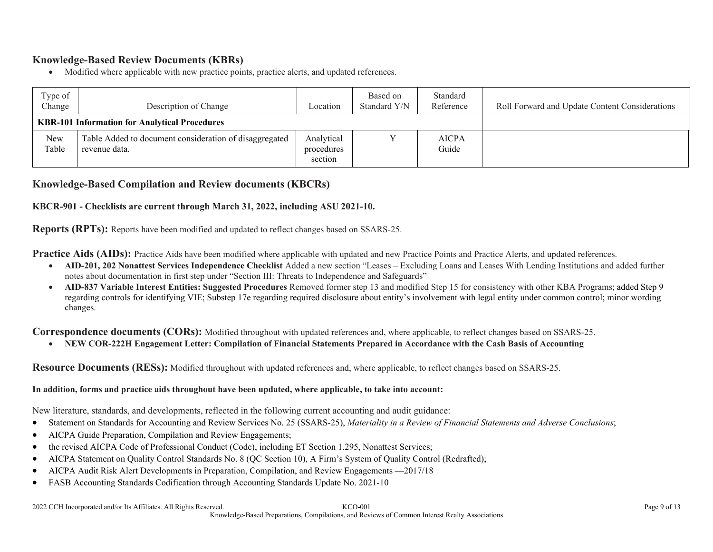### **Knowledge-Based Review Documents (KBRs)**

Modified where applicable with new practice points, practice alerts, and updated references.

| Type of<br>Change | Description of Change                                                   | Location                            | Based on<br>Standard Y/N | Standard<br>Reference | Roll Forward and Update Content Considerations |
|-------------------|-------------------------------------------------------------------------|-------------------------------------|--------------------------|-----------------------|------------------------------------------------|
|                   | <b>KBR-101 Information for Analytical Procedures</b>                    |                                     |                          |                       |                                                |
| New<br>Table      | Table Added to document consideration of disaggregated<br>revenue data. | Analytical<br>procedures<br>section |                          | <b>AICPA</b><br>Guide |                                                |

#### **Knowledge-Based Compilation and Review documents (KBCRs)**

#### **KBCR-901 - Checklists are current through March 31, 2022, including ASU 2021-10.**

**Reports (RPTs):** Reports have been modified and updated to reflect changes based on SSARS-25.

**Practice Aids (AIDs):** Practice Aids have been modified where applicable with updated and new Practice Points and Practice Alerts, and updated references.

- **AID-201, 202 Nonattest Services Independence Checklist** Added a new section "Leases Excluding Loans and Leases With Lending Institutions and added further notes about documentation in first step under "Section III: Threats to Independence and Safeguards"
- **AID-837 Variable Interest Entities: Suggested Procedures** Removed former step 13 and modified Step 15 for consistency with other KBA Programs; added Step 9 regarding controls for identifying VIE; Substep 17e regarding required disclosure about entity's involvement with legal entity under common control; minor wording changes.

**Correspondence documents (CORs):** Modified throughout with updated references and, where applicable, to reflect changes based on SSARS-25.

**NEW COR-222H Engagement Letter: Compilation of Financial Statements Prepared in Accordance with the Cash Basis of Accounting**

**Resource Documents (RESs):** Modified throughout with updated references and, where applicable, to reflect changes based on SSARS-25.

#### **In addition, forms and practice aids throughout have been updated, where applicable, to take into account:**

New literature, standards, and developments, reflected in the following current accounting and audit guidance:

- Statement on Standards for Accounting and Review Services No. 25 (SSARS-25), *Materiality in a Review of Financial Statements and Adverse Conclusions*;
- AICPA Guide Preparation, Compilation and Review Engagements;
- the revised AICPA Code of Professional Conduct (Code), including ET Section 1.295, Nonattest Services;
- AICPA Statement on Quality Control Standards No. 8 (QC Section 10), A Firm's System of Quality Control (Redrafted);
- AICPA Audit Risk Alert Developments in Preparation, Compilation, and Review Engagements —2017/18
- FASB Accounting Standards Codification through Accounting Standards Update No. 2021-10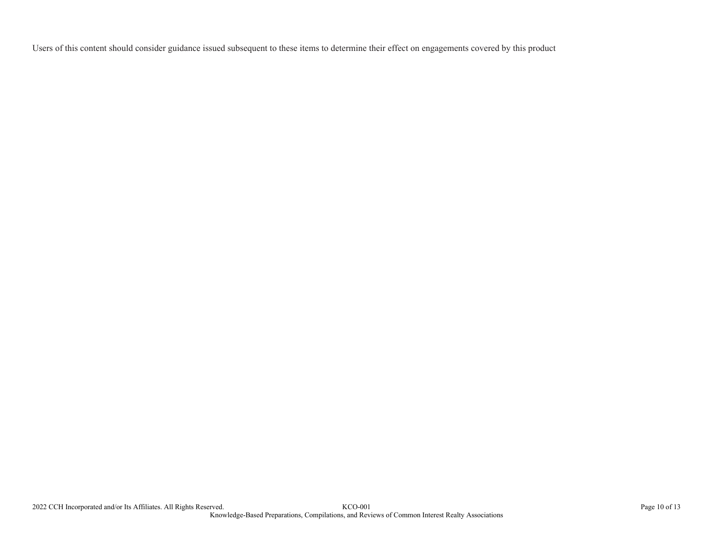Users of this content should consider guidance issued subsequent to these items to determine their effect on engagements covered by this product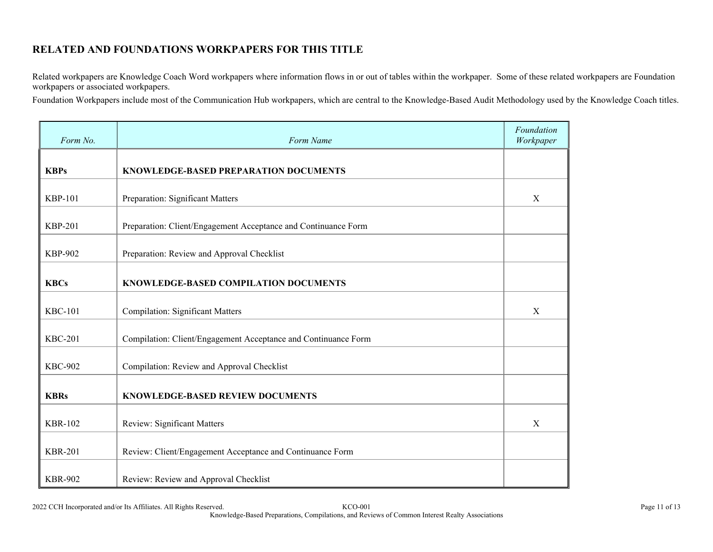## **RELATED AND FOUNDATIONS WORKPAPERS FOR THIS TITLE**

Related workpapers are Knowledge Coach Word workpapers where information flows in or out of tables within the workpaper. Some of these related workpapers are Foundation workpapers or associated workpapers.

Foundation Workpapers include most of the Communication Hub workpapers, which are central to the Knowledge-Based Audit Methodology used by the Knowledge Coach titles.

| Form No.       | Form Name                                                      | Foundation<br>Workpaper |
|----------------|----------------------------------------------------------------|-------------------------|
| <b>KBPs</b>    | KNOWLEDGE-BASED PREPARATION DOCUMENTS                          |                         |
| <b>KBP-101</b> | Preparation: Significant Matters                               | X                       |
| <b>KBP-201</b> | Preparation: Client/Engagement Acceptance and Continuance Form |                         |
| <b>KBP-902</b> | Preparation: Review and Approval Checklist                     |                         |
| <b>KBCs</b>    | KNOWLEDGE-BASED COMPILATION DOCUMENTS                          |                         |
| <b>KBC-101</b> | <b>Compilation: Significant Matters</b>                        | X                       |
| <b>KBC-201</b> | Compilation: Client/Engagement Acceptance and Continuance Form |                         |
| <b>KBC-902</b> | Compilation: Review and Approval Checklist                     |                         |
| <b>KBRs</b>    | KNOWLEDGE-BASED REVIEW DOCUMENTS                               |                         |
| <b>KBR-102</b> | <b>Review: Significant Matters</b>                             | X                       |
| <b>KBR-201</b> | Review: Client/Engagement Acceptance and Continuance Form      |                         |
| <b>KBR-902</b> | Review: Review and Approval Checklist                          |                         |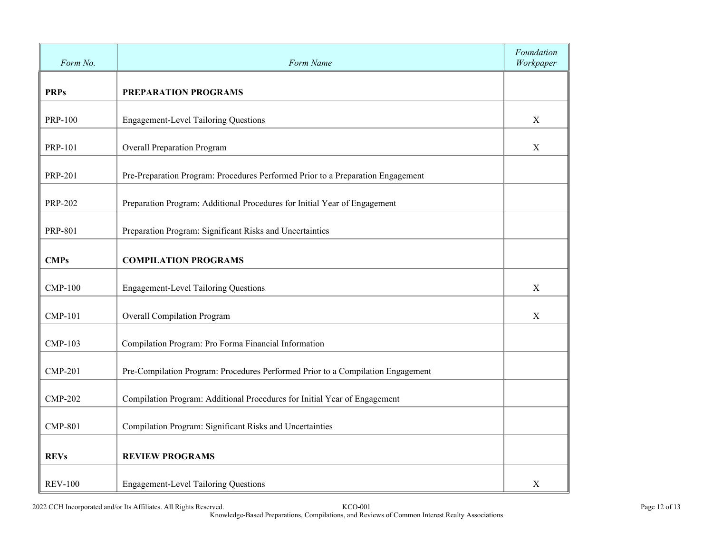| Form No.       | Form Name                                                                       | Foundation<br>Workpaper |
|----------------|---------------------------------------------------------------------------------|-------------------------|
| <b>PRPs</b>    | PREPARATION PROGRAMS                                                            |                         |
| <b>PRP-100</b> | <b>Engagement-Level Tailoring Questions</b>                                     | $\mathbf X$             |
| <b>PRP-101</b> | <b>Overall Preparation Program</b>                                              | X                       |
| <b>PRP-201</b> | Pre-Preparation Program: Procedures Performed Prior to a Preparation Engagement |                         |
| <b>PRP-202</b> | Preparation Program: Additional Procedures for Initial Year of Engagement       |                         |
| <b>PRP-801</b> | Preparation Program: Significant Risks and Uncertainties                        |                         |
| <b>CMPs</b>    | <b>COMPILATION PROGRAMS</b>                                                     |                         |
| <b>CMP-100</b> | <b>Engagement-Level Tailoring Questions</b>                                     | X                       |
| <b>CMP-101</b> | <b>Overall Compilation Program</b>                                              | X                       |
| <b>CMP-103</b> | Compilation Program: Pro Forma Financial Information                            |                         |
| <b>CMP-201</b> | Pre-Compilation Program: Procedures Performed Prior to a Compilation Engagement |                         |
| <b>CMP-202</b> | Compilation Program: Additional Procedures for Initial Year of Engagement       |                         |
| <b>CMP-801</b> | Compilation Program: Significant Risks and Uncertainties                        |                         |
| <b>REVs</b>    | <b>REVIEW PROGRAMS</b>                                                          |                         |
| <b>REV-100</b> | <b>Engagement-Level Tailoring Questions</b>                                     | X                       |